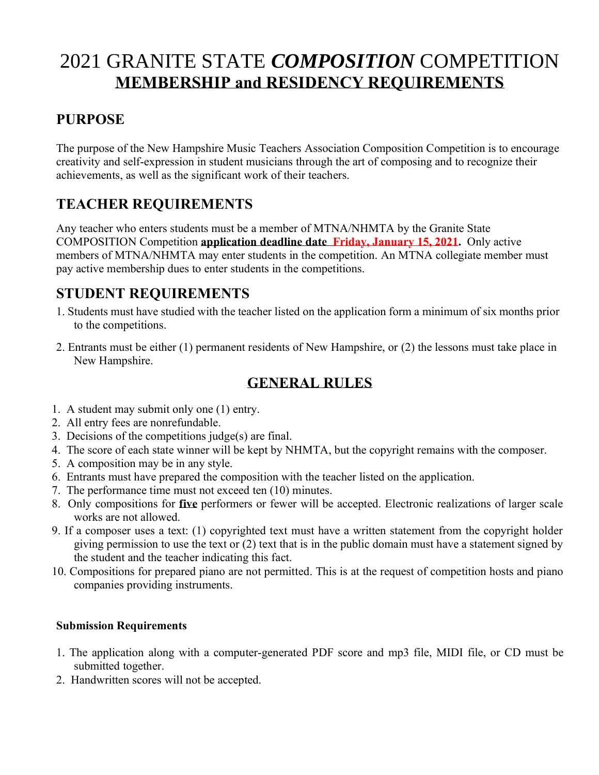# 2021 GRANITE STATE *COMPOSITION* COMPETITION **MEMBERSHIP and RESIDENCY REQUIREMENTS**

### **PURPOSE**

The purpose of the New Hampshire Music Teachers Association Composition Competition is to encourage creativity and self-expression in student musicians through the art of composing and to recognize their achievements, as well as the significant work of their teachers.

## **TEACHER REQUIREMENTS**

Any teacher who enters students must be a member of MTNA/NHMTA by the Granite State COMPOSITION Competition **application deadline date Friday, January 15, 2021.** Only active members of MTNA/NHMTA may enter students in the competition. An MTNA collegiate member must pay active membership dues to enter students in the competitions.

### **STUDENT REQUIREMENTS**

- 1. Students must have studied with the teacher listed on the application form a minimum of six months prior to the competitions.
- 2. Entrants must be either (1) permanent residents of New Hampshire, or (2) the lessons must take place in New Hampshire.

### **GENERAL RULES**

- 1. A student may submit only one (1) entry.
- 2. All entry fees are nonrefundable.
- 3. Decisions of the competitions judge(s) are final.
- 4. The score of each state winner will be kept by NHMTA, but the copyright remains with the composer.
- 5. A composition may be in any style.
- 6. Entrants must have prepared the composition with the teacher listed on the application.
- 7. The performance time must not exceed ten (10) minutes.
- 8. Only compositions for **five** performers or fewer will be accepted. Electronic realizations of larger scale works are not allowed.
- 9. If a composer uses a text: (1) copyrighted text must have a written statement from the copyright holder giving permission to use the text or (2) text that is in the public domain must have a statement signed by the student and the teacher indicating this fact.
- 10. Compositions for prepared piano are not permitted. This is at the request of competition hosts and piano companies providing instruments.

#### **Submission Requirements**

- 1. The application along with a computer-generated PDF score and mp3 file, MIDI file, or CD must be submitted together.
- 2. Handwritten scores will not be accepted.